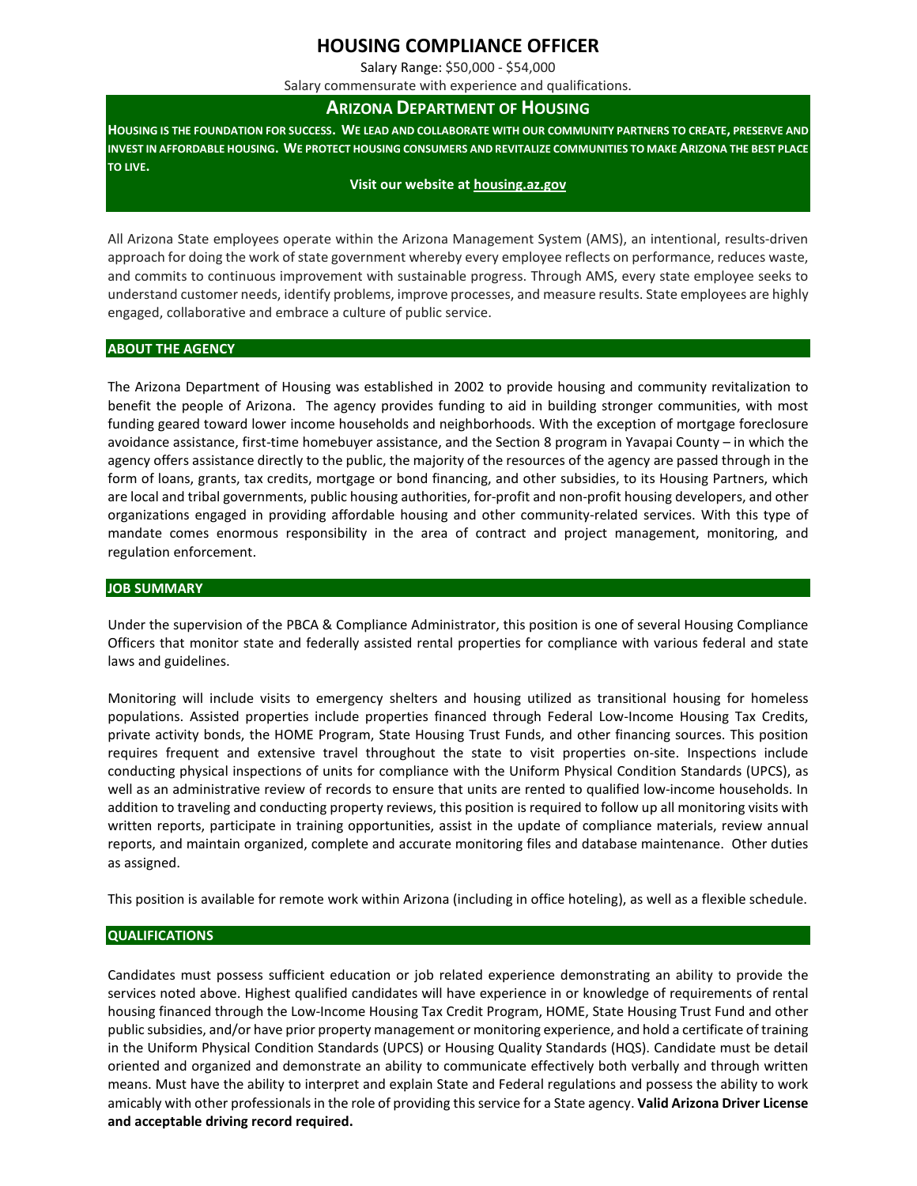# **HOUSING COMPLIANCE OFFICER**

Salary Range: \$50,000 - \$54,000

Salary commensurate with experience and qualifications.

## **ARIZONA DEPARTMENT OF HOUSING**

**HOUSING IS THE FOUNDATION FOR SUCCESS. WE LEAD AND COLLABORATE WITH OUR COMMUNITY PARTNERS TO CREATE, PRESERVE AND INVEST IN AFFORDABLE HOUSING. WE PROTECT HOUSING CONSUMERS AND REVITALIZE COMMUNITIES TO MAKE ARIZONA THE BEST PLACE TO LIVE.**

#### **Visit our website a[t housing.az.gov](http://www.housing.az.gov/)**

All Arizona State employees operate within the Arizona Management System (AMS), an intentional, results-driven approach for doing the work of state government whereby every employee reflects on performance, reduces waste, and commits to continuous improvement with sustainable progress. Through AMS, every state employee seeks to understand customer needs, identify problems, improve processes, and measure results. State employees are highly engaged, collaborative and embrace a culture of public service.

### **ABOUT THE AGENCY**

The Arizona Department of Housing was established in 2002 to provide housing and community revitalization to benefit the people of Arizona. The agency provides funding to aid in building stronger communities, with most funding geared toward lower income households and neighborhoods. With the exception of mortgage foreclosure avoidance assistance, first-time homebuyer assistance, and the Section 8 program in Yavapai County – in which the agency offers assistance directly to the public, the majority of the resources of the agency are passed through in the form of loans, grants, tax credits, mortgage or bond financing, and other subsidies, to its Housing Partners, which are local and tribal governments, public housing authorities, for-profit and non-profit housing developers, and other organizations engaged in providing affordable housing and other community-related services. With this type of mandate comes enormous responsibility in the area of contract and project management, monitoring, and regulation enforcement.

### **JOB SUMMARY**

Under the supervision of the PBCA & Compliance Administrator, this position is one of several Housing Compliance Officers that monitor state and federally assisted rental properties for compliance with various federal and state laws and guidelines.

Monitoring will include visits to emergency shelters and housing utilized as transitional housing for homeless populations. Assisted properties include properties financed through Federal Low-Income Housing Tax Credits, private activity bonds, the HOME Program, State Housing Trust Funds, and other financing sources. This position requires frequent and extensive travel throughout the state to visit properties on-site. Inspections include conducting physical inspections of units for compliance with the Uniform Physical Condition Standards (UPCS), as well as an administrative review of records to ensure that units are rented to qualified low-income households. In addition to traveling and conducting property reviews, this position is required to follow up all monitoring visits with written reports, participate in training opportunities, assist in the update of compliance materials, review annual reports, and maintain organized, complete and accurate monitoring files and database maintenance. Other duties as assigned.

This position is available for remote work within Arizona (including in office hoteling), as well as a flexible schedule.

### **QUALIFICATIONS**

Candidates must possess sufficient education or job related experience demonstrating an ability to provide the services noted above. Highest qualified candidates will have experience in or knowledge of requirements of rental housing financed through the Low-Income Housing Tax Credit Program, HOME, State Housing Trust Fund and other public subsidies, and/or have prior property management or monitoring experience, and hold a certificate of training in the Uniform Physical Condition Standards (UPCS) or Housing Quality Standards (HQS). Candidate must be detail oriented and organized and demonstrate an ability to communicate effectively both verbally and through written means. Must have the ability to interpret and explain State and Federal regulations and possess the ability to work amicably with other professionals in the role of providing this service for a State agency. **Valid Arizona Driver License and acceptable driving record required.**